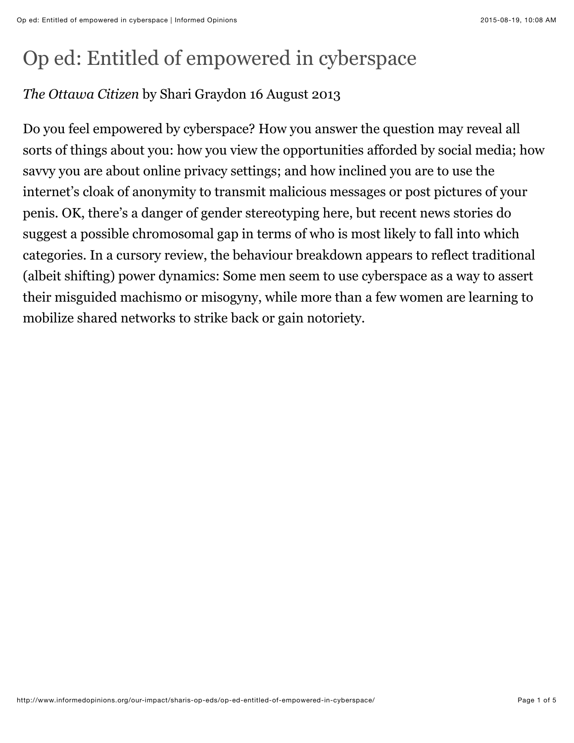## Op ed: Entitled of empowered in cyberspace

## *The Ottawa Citizen* by Shari Graydon 16 August 2013

Do you feel empowered by cyberspace? How you answer the question may reveal all sorts of things about you: how you view the opportunities afforded by social media; how savvy you are about online privacy settings; and how inclined you are to use the internet's cloak of anonymity to transmit malicious messages or post pictures of your penis. OK, there's a danger of gender stereotyping here, but recent news stories do suggest a possible chromosomal gap in terms of who is most likely to fall into which categories. In a cursory review, the behaviour breakdown appears to reflect traditional (albeit shifting) power dynamics: Some men seem to use cyberspace as a way to assert their misguided machismo or misogyny, while more than a few women are learning to mobilize shared networks to strike back or gain notoriety.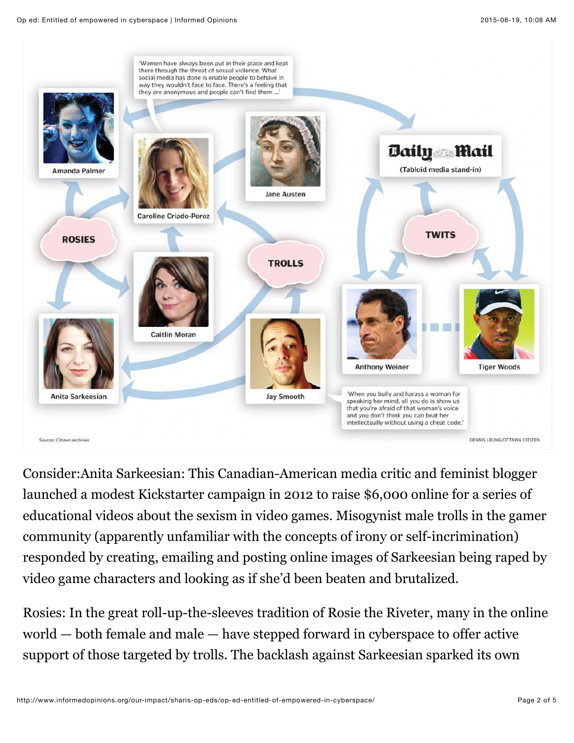

Consider:Anita Sarkeesian: This Canadian-American media critic and feminist blogger launched a modest Kickstarter campaign in 2012 to raise \$6,000 online for a series of educational videos about the sexism in video games. Misogynist male trolls in the gamer community (apparently unfamiliar with the concepts of irony or self-incrimination) responded by creating, emailing and posting online images of Sarkeesian being raped by video game characters and looking as if she'd been beaten and brutalized.

Rosies: In the great roll-up-the-sleeves tradition of Rosie the Riveter, many in the online world — both female and male — have stepped forward in cyberspace to offer active support of those targeted by trolls. The backlash against Sarkeesian sparked its own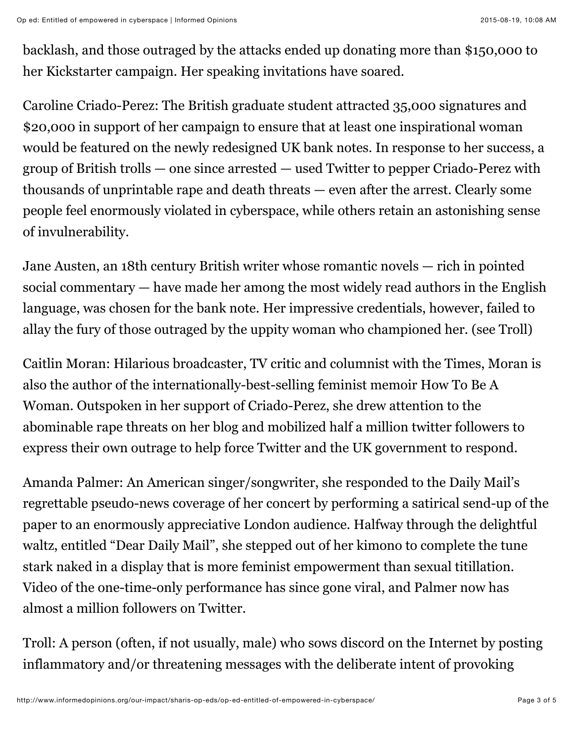backlash, and those outraged by the attacks ended up donating more than \$150,000 to her Kickstarter campaign. Her speaking invitations have soared.

Caroline Criado-Perez: The British graduate student attracted 35,000 signatures and \$20,000 in support of her campaign to ensure that at least one inspirational woman would be featured on the newly redesigned UK bank notes. In response to her success, a group of British trolls — one since arrested — used Twitter to pepper Criado-Perez with thousands of unprintable rape and death threats — even after the arrest. Clearly some people feel enormously violated in cyberspace, while others retain an astonishing sense of invulnerability.

Jane Austen, an 18th century British writer whose romantic novels — rich in pointed social commentary — have made her among the most widely read authors in the English language, was chosen for the bank note. Her impressive credentials, however, failed to allay the fury of those outraged by the uppity woman who championed her. (see Troll)

Caitlin Moran: Hilarious broadcaster, TV critic and columnist with the Times, Moran is also the author of the internationally-best-selling feminist memoir How To Be A Woman. Outspoken in her support of Criado-Perez, she drew attention to the abominable rape threats on her blog and mobilized half a million twitter followers to express their own outrage to help force Twitter and the UK government to respond.

Amanda Palmer: An American singer/songwriter, she responded to the Daily Mail's regrettable pseudo-news coverage of her concert by performing a satirical send-up of the paper to an enormously appreciative London audience. Halfway through the delightful waltz, entitled "Dear Daily Mail", she stepped out of her kimono to complete the tune stark naked in a display that is more feminist empowerment than sexual titillation. Video of the one-time-only performance has since gone viral, and Palmer now has almost a million followers on Twitter.

Troll: A person (often, if not usually, male) who sows discord on the Internet by posting inflammatory and/or threatening messages with the deliberate intent of provoking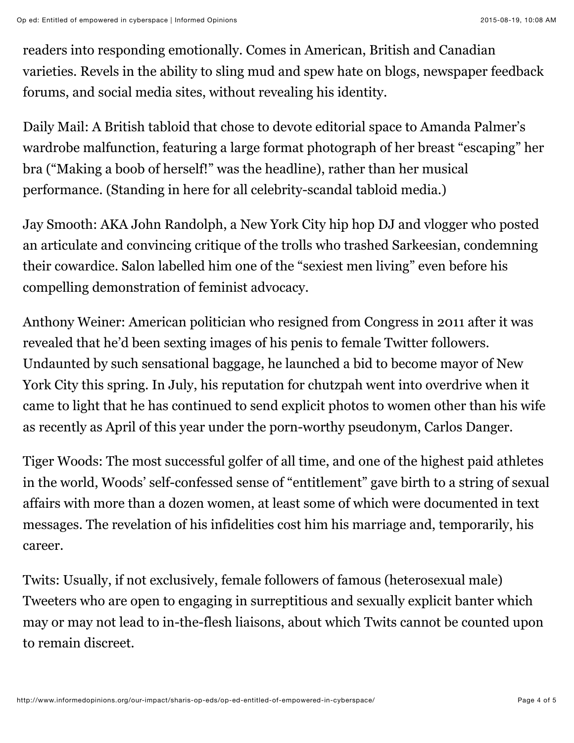readers into responding emotionally. Comes in American, British and Canadian varieties. Revels in the ability to sling mud and spew hate on blogs, newspaper feedback forums, and social media sites, without revealing his identity.

Daily Mail: A British tabloid that chose to devote editorial space to Amanda Palmer's wardrobe malfunction, featuring a large format photograph of her breast "escaping" her bra ("Making a boob of herself!" was the headline), rather than her musical performance. (Standing in here for all celebrity-scandal tabloid media.)

Jay Smooth: AKA John Randolph, a New York City hip hop DJ and vlogger who posted an articulate and convincing critique of the trolls who trashed Sarkeesian, condemning their cowardice. Salon labelled him one of the "sexiest men living" even before his compelling demonstration of feminist advocacy.

Anthony Weiner: American politician who resigned from Congress in 2011 after it was revealed that he'd been sexting images of his penis to female Twitter followers. Undaunted by such sensational baggage, he launched a bid to become mayor of New York City this spring. In July, his reputation for chutzpah went into overdrive when it came to light that he has continued to send explicit photos to women other than his wife as recently as April of this year under the porn-worthy pseudonym, Carlos Danger.

Tiger Woods: The most successful golfer of all time, and one of the highest paid athletes in the world, Woods' self-confessed sense of "entitlement" gave birth to a string of sexual affairs with more than a dozen women, at least some of which were documented in text messages. The revelation of his infidelities cost him his marriage and, temporarily, his career.

Twits: Usually, if not exclusively, female followers of famous (heterosexual male) Tweeters who are open to engaging in surreptitious and sexually explicit banter which may or may not lead to in-the-flesh liaisons, about which Twits cannot be counted upon to remain discreet.